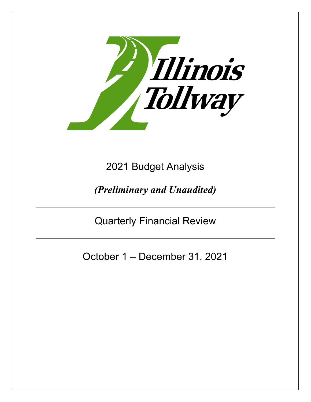

2021 Budget Analysis

*(Preliminary and Unaudited)*

Quarterly Financial Review

October 1 – December 31, 2021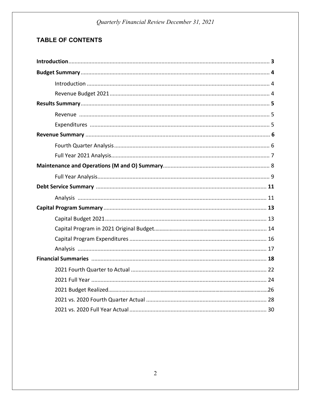# **TABLE OF CONTENTS**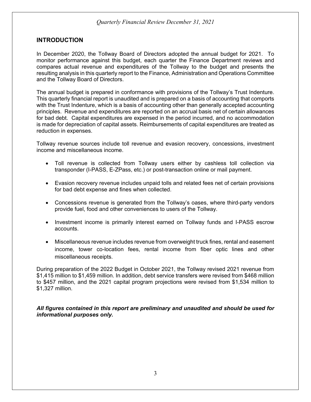#### **INTRODUCTION**

In December 2020, the Tollway Board of Directors adopted the annual budget for 2021. To monitor performance against this budget, each quarter the Finance Department reviews and compares actual revenue and expenditures of the Tollway to the budget and presents the resulting analysis in this quarterly report to the Finance, Administration and Operations Committee and the Tollway Board of Directors.

The annual budget is prepared in conformance with provisions of the Tollway's Trust Indenture. This quarterly financial report is unaudited and is prepared on a basis of accounting that comports with the Trust Indenture, which is a basis of accounting other than generally accepted accounting principles. Revenue and expenditures are reported on an accrual basis net of certain allowances for bad debt. Capital expenditures are expensed in the period incurred, and no accommodation is made for depreciation of capital assets. Reimbursements of capital expenditures are treated as reduction in expenses.

Tollway revenue sources include toll revenue and evasion recovery, concessions, investment income and miscellaneous income.

- Toll revenue is collected from Tollway users either by cashless toll collection via transponder (I-PASS, E-ZPass, etc.) or post-transaction online or mail payment.
- Evasion recovery revenue includes unpaid tolls and related fees net of certain provisions for bad debt expense and fines when collected.
- Concessions revenue is generated from the Tollway's oases, where third-party vendors provide fuel, food and other conveniences to users of the Tollway.
- Investment income is primarily interest earned on Tollway funds and I-PASS escrow accounts.
- Miscellaneous revenue includes revenue from overweight truck fines, rental and easement income, tower co-location fees, rental income from fiber optic lines and other miscellaneous receipts.

During preparation of the 2022 Budget in October 2021, the Tollway revised 2021 revenue from \$1,415 million to \$1,459 million. In addition, debt service transfers were revised from \$468 million to \$457 million, and the 2021 capital program projections were revised from \$1,534 million to \$1,327 million.

*All figures contained in this report are preliminary and unaudited and should be used for informational purposes only.*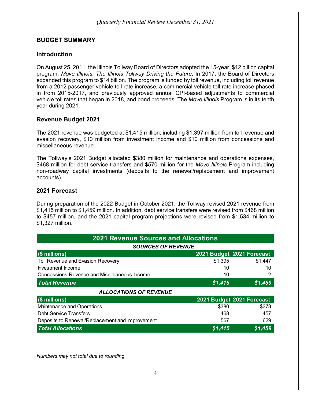#### **BUDGET SUMMARY**

#### **Introduction**

On August 25, 2011, the Illinois Tollway Board of Directors adopted the 15-year, \$12 billion capital program, *Move Illinois: The Illinois Tollway Driving the Future*. In 2017, the Board of Directors expanded this program to \$14 billion. The program is funded by toll revenue, including toll revenue from a 2012 passenger vehicle toll rate increase, a commercial vehicle toll rate increase phased in from 2015-2017, and previously approved annual CPI-based adjustments to commercial vehicle toll rates that began in 2018, and bond proceeds. The *Move Illinois* Program is in its tenth year during 2021.

#### **Revenue Budget 2021**

The 2021 revenue was budgeted at \$1,415 million, including \$1,397 million from toll revenue and evasion recovery, \$10 million from investment income and \$10 million from concessions and miscellaneous revenue.

The Tollway's 2021 Budget allocated \$380 million for maintenance and operations expenses, \$468 million for debt service transfers and \$570 million for the *Move Illinois* Program including non-roadway capital investments (deposits to the renewal/replacement and improvement accounts).

#### **2021 Forecast**

During preparation of the 2022 Budget in October 2021, the Tollway revised 2021 revenue from \$1,415 million to \$1,459 million. In addition, debt service transfers were revised from \$468 million to \$457 million, and the 2021 capital program projections were revised from \$1,534 million to \$1,327 million.

| <b>2021 Revenue Sources and Allocations</b>         |         |                           |  |  |  |
|-----------------------------------------------------|---------|---------------------------|--|--|--|
| <b>SOURCES OF REVENUE</b>                           |         |                           |  |  |  |
| $($ millions)                                       |         | 2021 Budget 2021 Forecast |  |  |  |
| Toll Revenue and Evasion Recovery                   | \$1,395 | \$1,447                   |  |  |  |
| Investment Income                                   | 10      | 10                        |  |  |  |
| <b>Concessions Revenue and Miscellaneous Income</b> | 10      | 2                         |  |  |  |
| <b>Total Revenue</b>                                | \$1,415 | \$1,459                   |  |  |  |
| <b>ALLOCATIONS OF REVENUE</b>                       |         |                           |  |  |  |
| $($ millions)                                       |         | 2021 Budget 2021 Forecast |  |  |  |
| Maintenance and Operations                          | \$380   | \$373                     |  |  |  |
| <b>Debt Service Transfers</b>                       | 468     | 457                       |  |  |  |
| Deposits to Renewal/Replacement and Improvement     | 567     | 629                       |  |  |  |
| <b>Total Allocations</b>                            | \$1,415 | \$1,459                   |  |  |  |

*Numbers may not total due to rounding.*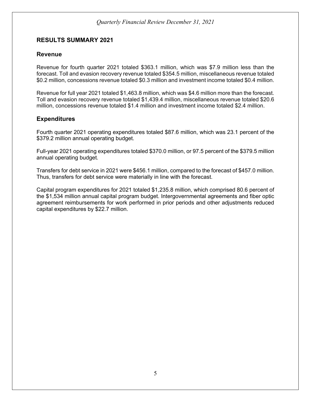#### **RESULTS SUMMARY 2021**

#### **Revenue**

Revenue for fourth quarter 2021 totaled \$363.1 million, which was \$7.9 million less than the forecast. Toll and evasion recovery revenue totaled \$354.5 million, miscellaneous revenue totaled \$0.2 million, concessions revenue totaled \$0.3 million and investment income totaled \$0.4 million.

Revenue for full year 2021 totaled \$1,463.8 million, which was \$4.6 million more than the forecast. Toll and evasion recovery revenue totaled \$1,439.4 million, miscellaneous revenue totaled \$20.6 million, concessions revenue totaled \$1.4 million and investment income totaled \$2.4 million.

#### **Expenditures**

Fourth quarter 2021 operating expenditures totaled \$87.6 million, which was 23.1 percent of the \$379.2 million annual operating budget.

Full-year 2021 operating expenditures totaled \$370.0 million, or 97.5 percent of the \$379.5 million annual operating budget.

Transfers for debt service in 2021 were \$456.1 million, compared to the forecast of \$457.0 million. Thus, transfers for debt service were materially in line with the forecast.

Capital program expenditures for 2021 totaled \$1,235.8 million, which comprised 80.6 percent of the \$1,534 million annual capital program budget. Intergovernmental agreements and fiber optic agreement reimbursements for work performed in prior periods and other adjustments reduced capital expenditures by \$22.7 million.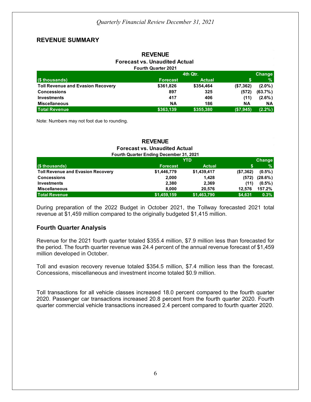#### **REVENUE SUMMARY**

#### **REVENUE Forecast vs. Unaudited Actual Fourth Quarter 2021**

|                                          |                 | 4th Qtr.      |           | Change     |
|------------------------------------------|-----------------|---------------|-----------|------------|
| $($ $$$ thousands)                       | <b>Forecast</b> | <b>Actual</b> |           | $\%$       |
| <b>Toll Revenue and Evasion Recovery</b> | \$361,826       | \$354,464     | (\$7,362) | $(2.0\%)$  |
| <b>Concessions</b>                       | 897             | 325           | (572)     | $(63.7\%)$ |
| <b>Investments</b>                       | 417             | 406           | (11)      | $(2.6\%)$  |
| <b>Miscellaneous</b>                     | <b>NA</b>       | 186           | ΝA        | NА         |
| <b>Total Revenue</b>                     | \$363,139       | \$355,380     | (\$7,945) | $(2.2\%)$  |

Note: Numbers may not foot due to rounding.

#### **REVENUE Forecast vs. Unaudited Actual Fourth Quarter Ending December 31, 2021**

|                                          | <b>YTD</b>      |               |           | <b>Change</b> |
|------------------------------------------|-----------------|---------------|-----------|---------------|
| (\$ thousands)                           | <b>Forecast</b> | <b>Actual</b> |           | $\%$          |
| <b>Toll Revenue and Evasion Recovery</b> | \$1,446,779     | \$1,439,417   | (\$7,362) | $(0.5\%)$     |
| <b>Concessions</b>                       | 2,000           | 1,428         | (572)     | $(28.6\%)$    |
| <b>Investments</b>                       | 2,380           | 2,369         | (11)      | $(0.5\%)$     |
| <b>Miscellaneous</b>                     | 8.000           | 20,576        | 12.576    | 157.2%        |
| <b>Total Revenue</b>                     | \$1,459,159     | \$1,463,790   | \$4,631   | 0.3%          |

During preparation of the 2022 Budget in October 2021, the Tollway forecasted 2021 total revenue at \$1,459 million compared to the originally budgeted \$1,415 million.

#### **Fourth Quarter Analysis**

Revenue for the 2021 fourth quarter totaled \$355.4 million, \$7.9 million less than forecasted for the period. The fourth quarter revenue was 24.4 percent of the annual revenue forecast of \$1,459 million developed in October.

Toll and evasion recovery revenue totaled \$354.5 million, \$7.4 million less than the forecast. Concessions, miscellaneous and investment income totaled \$0.9 million.

Toll transactions for all vehicle classes increased 18.0 percent compared to the fourth quarter 2020. Passenger car transactions increased 20.8 percent from the fourth quarter 2020. Fourth quarter commercial vehicle transactions increased 2.4 percent compared to fourth quarter 2020.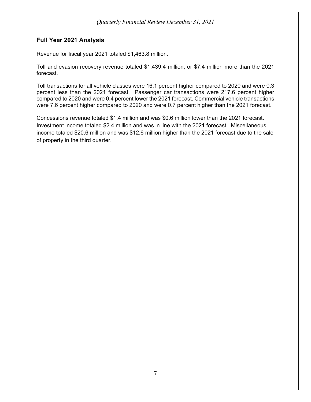#### **Full Year 2021 Analysis**

Revenue for fiscal year 2021 totaled \$1,463.8 million.

Toll and evasion recovery revenue totaled \$1,439.4 million, or \$7.4 million more than the 2021 forecast.

Toll transactions for all vehicle classes were 16.1 percent higher compared to 2020 and were 0.3 percent less than the 2021 forecast. Passenger car transactions were 217.6 percent higher compared to 2020 and were 0.4 percent lower the 2021 forecast. Commercial vehicle transactions were 7.6 percent higher compared to 2020 and were 0.7 percent higher than the 2021 forecast.

Concessions revenue totaled \$1.4 million and was \$0.6 million lower than the 2021 forecast. Investment income totaled \$2.4 million and was in line with the 2021 forecast. Miscellaneous income totaled \$20.6 million and was \$12.6 million higher than the 2021 forecast due to the sale of property in the third quarter.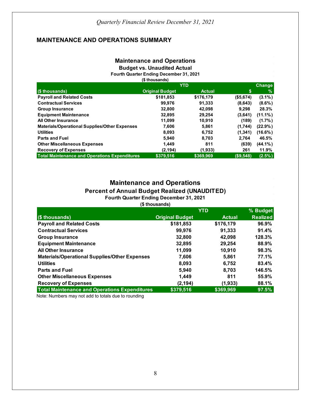### **MAINTENANCE AND OPERATIONS SUMMARY**

#### **Budget vs. Unaudited Actual Maintenance and Operations**

**Fourth Quarter Ending December 31, 2021 (\$ thousands)**

|                                                      | <b>YTD</b>             |               |           | <b>Change</b> |  |
|------------------------------------------------------|------------------------|---------------|-----------|---------------|--|
| (\$ thousands)                                       | <b>Original Budget</b> | <b>Actual</b> | \$        | %             |  |
| <b>Payroll and Related Costs</b>                     | \$181,853              | \$176,179     | (\$5,674) | $(3.1\%)$     |  |
| <b>Contractual Services</b>                          | 99.976                 | 91,333        | (8,643)   | $(8.6\%)$     |  |
| <b>Group Insurance</b>                               | 32,800                 | 42,098        | 9,298     | 28.3%         |  |
| <b>Equipment Maintenance</b>                         | 32,895                 | 29,254        | (3,641)   | $(11.1\%)$    |  |
| <b>All Other Insurance</b>                           | 11.099                 | 10.910        | (189)     | $(1.7\%)$     |  |
| <b>Materials/Operational Supplies/Other Expenses</b> | 7,606                  | 5,861         | (1,744)   | $(22.9\%)$    |  |
| <b>Utilities</b>                                     | 8.093                  | 6.752         | (1, 341)  | $(16.6\%)$    |  |
| <b>Parts and Fuel</b>                                | 5,940                  | 8,703         | 2,764     | 46.5%         |  |
| <b>Other Miscellaneous Expenses</b>                  | 1.449                  | 811           | (639)     | $(44.1\%)$    |  |
| <b>Recovery of Expenses</b>                          | (2, 194)               | (1,933)       | 261       | 11.9%         |  |
| <b>Total Maintenance and Operations Expenditures</b> | \$379.516              | \$369.969     | (\$9,548) | $(2.5\%)$     |  |

# **Maintenance and Operations Percent of Annual Budget Realized (UNAUDITED)**

**Fourth Quarter Ending December 31, 2021 (\$ thousands)**

|                                                      |                        | <b>YTD</b>    | % Budget        |
|------------------------------------------------------|------------------------|---------------|-----------------|
| (\$ thousands)                                       | <b>Original Budget</b> | <b>Actual</b> | <b>Realized</b> |
| <b>Payroll and Related Costs</b>                     | \$181,853              | \$176,179     | 96.9%           |
| <b>Contractual Services</b>                          | 99,976                 | 91,333        | 91.4%           |
| <b>Group Insurance</b>                               | 32,800                 | 42,098        | 128.3%          |
| <b>Equipment Maintenance</b>                         | 32,895                 | 29,254        | 88.9%           |
| <b>All Other Insurance</b>                           | 11,099                 | 10,910        | 98.3%           |
| <b>Materials/Operational Supplies/Other Expenses</b> | 7,606                  | 5.861         | 77.1%           |
| <b>Utilities</b>                                     | 8,093                  | 6,752         | 83.4%           |
| <b>Parts and Fuel</b>                                | 5,940                  | 8,703         | 146.5%          |
| <b>Other Miscellaneous Expenses</b>                  | 1,449                  | 811           | 55.9%           |
| <b>Recovery of Expenses</b>                          | (2, 194)               | (1,933)       | 88.1%           |
| <b>Total Maintenance and Operations Expenditures</b> | \$379,516              | \$369,969     | 97.5%           |

Note: Numbers may not add to totals due to rounding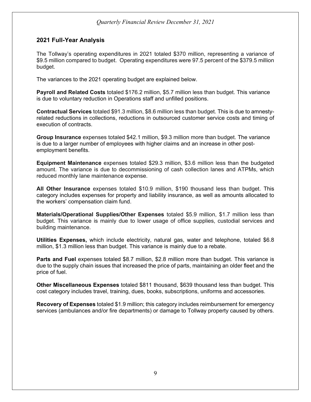#### **2021 Full-Year Analysis**

The Tollway's operating expenditures in 2021 totaled \$370 million, representing a variance of \$9.5 million compared to budget. Operating expenditures were 97.5 percent of the \$379.5 million budget.

The variances to the 2021 operating budget are explained below.

**Payroll and Related Costs** totaled \$176.2 million, \$5.7 million less than budget. This variance is due to voluntary reduction in Operations staff and unfilled positions.

**Contractual Services** totaled \$91.3 million, \$8.6 million less than budget. This is due to amnestyrelated reductions in collections, reductions in outsourced customer service costs and timing of execution of contracts.

**Group Insurance** expenses totaled \$42.1 million, \$9.3 million more than budget. The variance is due to a larger number of employees with higher claims and an increase in other postemployment benefits.

**Equipment Maintenance** expenses totaled \$29.3 million, \$3.6 million less than the budgeted amount. The variance is due to decommissioning of cash collection lanes and ATPMs, which reduced monthly lane maintenance expense.

**All Other Insurance** expenses totaled \$10.9 million, \$190 thousand less than budget. This category includes expenses for property and liability insurance, as well as amounts allocated to the workers' compensation claim fund.

**Materials/Operational Supplies/Other Expenses** totaled \$5.9 million, \$1.7 million less than budget. This variance is mainly due to lower usage of office supplies, custodial services and building maintenance.

**Utilities Expenses,** which include electricity, natural gas, water and telephone, totaled \$6.8 million, \$1.3 million less than budget. This variance is mainly due to a rebate.

**Parts and Fuel** expenses totaled \$8.7 million, \$2.8 million more than budget. This variance is due to the supply chain issues that increased the price of parts, maintaining an older fleet and the price of fuel.

**Other Miscellaneous Expenses** totaled \$811 thousand, \$639 thousand less than budget. This cost category includes travel, training, dues, books, subscriptions, uniforms and accessories.

**Recovery of Expenses** totaled \$1.9 million; this category includes reimbursement for emergency services (ambulances and/or fire departments) or damage to Tollway property caused by others.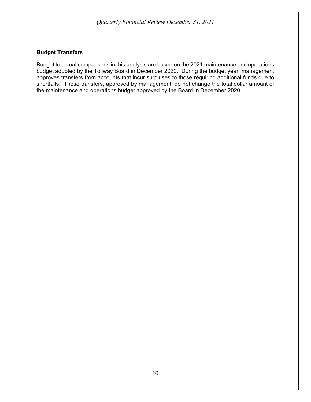#### **Budget Transfers**

Budget to actual comparisons in this analysis are based on the 2021 maintenance and operations budget adopted by the Tollway Board in December 2020. During the budget year, management approves transfers from accounts that incur surpluses to those requiring additional funds due to shortfalls. These transfers, approved by management, do not change the total dollar amount of the maintenance and operations budget approved by the Board in December 2020.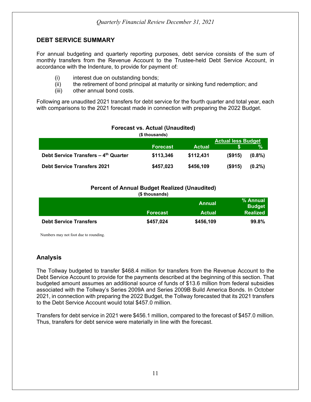#### **DEBT SERVICE SUMMARY**

For annual budgeting and quarterly reporting purposes, debt service consists of the sum of monthly transfers from the Revenue Account to the Trustee-held Debt Service Account, in accordance with the Indenture, to provide for payment of:

- (i) interest due on outstanding bonds;
- (ii) the retirement of bond principal at maturity or sinking fund redemption; and
- (iii) other annual bond costs.

Following are unaudited 2021 transfers for debt service for the fourth quarter and total year, each with comparisons to the 2021 forecast made in connection with preparing the 2022 Budget.

|                                      | TUIGUAST VS. AUTUAI TUITAUUITUUT |               |            |           |  |  |
|--------------------------------------|----------------------------------|---------------|------------|-----------|--|--|
|                                      | (\$ thousands)                   |               |            |           |  |  |
|                                      | <b>Actual less Budget</b>        |               |            |           |  |  |
|                                      | <b>Forecast</b>                  | <b>Actual</b> |            | %         |  |  |
| Debt Service Transfers - 4th Quarter | \$113,346                        | \$112,431     | (S915)     | $(0.8\%)$ |  |  |
| <b>Debt Service Transfers 2021</b>   | \$457,023                        | \$456,109     | $($ \$915) | $(0.2\%)$ |  |  |

#### **Forecast vs. Actual (Unaudited)**

#### **Percent of Annual Budget Realized (Unaudited)**

**(\$ thousands)**

|                               |                 | Annual        | % Annual<br><b>Budget</b> |
|-------------------------------|-----------------|---------------|---------------------------|
|                               | <b>Forecast</b> | <b>Actual</b> | <b>Realized</b>           |
| <b>Debt Service Transfers</b> | \$457,024       | \$456,109     | 99.8%                     |

Numbers may not foot due to rounding.

### **Analysis**

The Tollway budgeted to transfer \$468.4 million for transfers from the Revenue Account to the Debt Service Account to provide for the payments described at the beginning of this section. That budgeted amount assumes an additional source of funds of \$13.6 million from federal subsidies associated with the Tollway's Series 2009A and Series 2009B Build America Bonds. In October 2021, in connection with preparing the 2022 Budget, the Tollway forecasted that its 2021 transfers to the Debt Service Account would total \$457.0 million.

Transfers for debt service in 2021 were \$456.1 million, compared to the forecast of \$457.0 million. Thus, transfers for debt service were materially in line with the forecast.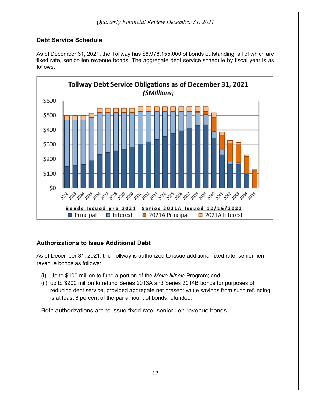### **Debt Service Schedule**

As of December 31, 2021, the Tollway has \$6,976,155,000 of bonds outstanding, all of which are fixed rate, senior-lien revenue bonds. The aggregate debt service schedule by fiscal year is as follows.



### **Authorizations to Issue Additional Debt**

As of December 31, 2021, the Tollway is authorized to issue additional fixed rate, senior-lien revenue bonds as follows:

- (i) Up to \$100 million to fund a portion of the *Move Illinois* Program; and
- (ii) up to \$900 million to refund Series 2013A and Series 2014B bonds for purposes of reducing debt service, provided aggregate net present value savings from such refunding is at least 8 percent of the par amount of bonds refunded.

Both authorizations are to issue fixed rate, senior-lien revenue bonds.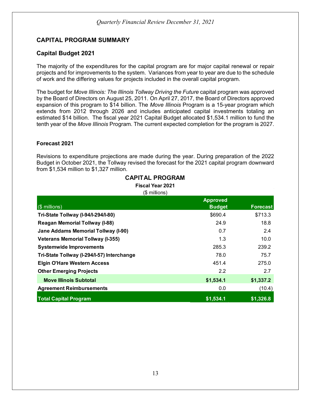### **CAPITAL PROGRAM SUMMARY**

#### **Capital Budget 2021**

The majority of the expenditures for the capital program are for major capital renewal or repair projects and for improvements to the system. Variances from year to year are due to the schedule of work and the differing values for projects included in the overall capital program.

The budget for *Move Illinois: The Illinois Tollway Driving the Future* capital program was approved by the Board of Directors on August 25, 2011. On April 27, 2017, the Board of Directors approved expansion of this program to \$14 billion. The *Move Illinois* Program is a 15-year program which extends from 2012 through 2026 and includes anticipated capital investments totaling an estimated \$14 billion. The fiscal year 2021 Capital Budget allocated \$1,534.1 million to fund the tenth year of the *Move Illinois* Program. The current expected completion for the program is 2027.

#### **Forecast 2021**

Revisions to expenditure projections are made during the year. During preparation of the 2022 Budget in October 2021, the Tollway revised the forecast for the 2021 capital program downward from \$1,534 million to \$1,327 million.

| <b>Fiscal Year 2021</b><br>$($$ millions)  |                                  |                 |  |  |  |
|--------------------------------------------|----------------------------------|-----------------|--|--|--|
| $(\$$ millions)                            | <b>Approved</b><br><b>Budget</b> | <b>Forecast</b> |  |  |  |
| Tri-State Tollway (I-94/I-294/I-80)        | \$690.4                          | \$713.3         |  |  |  |
| <b>Reagan Memorial Tollway (I-88)</b>      | 24.9                             | 18.8            |  |  |  |
| Jane Addams Memorial Tollway (I-90)        | 0.7                              | 2.4             |  |  |  |
| <b>Veterans Memorial Tollway (I-355)</b>   | 1.3                              | 10.0            |  |  |  |
| <b>Systemwide Improvements</b>             | 285.3                            | 239.2           |  |  |  |
| Tri-State Tollway (I-294/I-57) Interchange | 78.0                             | 75.7            |  |  |  |
| <b>Elgin O'Hare Western Access</b>         | 451.4                            | 275.0           |  |  |  |
| <b>Other Emerging Projects</b>             | 2.2                              | 2.7             |  |  |  |
| <b>Move Illinois Subtotal</b>              | \$1,534.1                        | \$1,337.2       |  |  |  |
| <b>Agreement Reimbursements</b>            | 0.0                              | (10.4)          |  |  |  |
| <b>Total Capital Program</b>               | \$1,534.1                        | \$1,326.8       |  |  |  |

# **CAPITAL PROGRAM**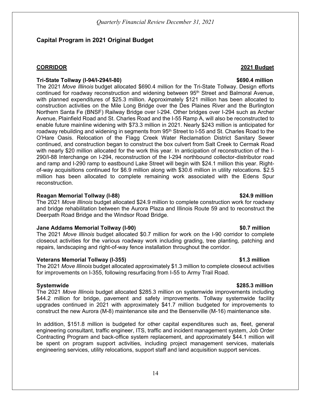#### **Capital Program in 2021 Original Budget**

#### **CORRIDOR 2021 Budget**

#### **Tri-State Tollway (I-94/I-294/I-80) \$690.4 million**

The 2021 *Move Illinois* budget allocated \$690.4 million for the Tri-State Tollway. Design efforts continued for roadway reconstruction and widening between 95<sup>th</sup> Street and Balmoral Avenue, with planned expenditures of \$25.3 million. Approximately \$121 million has been allocated to construction activities on the Mile Long Bridge over the Des Plaines River and the Burlington Northern Santa Fe (BNSF) Railway Bridge over I-294. Other bridges over I-294 such as Archer Avenue, Plainfield Road and St. Charles Road and the I-55 Ramp A, will also be reconstructed to enable future mainline widening with \$73.3 million in 2021. Nearly \$243 million is anticipated for roadway rebuilding and widening in segments from 95<sup>th</sup> Street to I-55 and St. Charles Road to the O'Hare Oasis. Relocation of the Flagg Creek Water Reclamation District Sanitary Sewer continued, and construction began to construct the box culvert from Salt Creek to Cermak Road with nearly \$20 million allocated for the work this year. In anticipation of reconstruction of the I-290/I-88 Interchange on I-294, reconstruction of the I-294 northbound collector-distributor road and ramp and I-290 ramp to eastbound Lake Street will begin with \$24.1 million this year. Rightof-way acquisitions continued for \$6.9 million along with \$30.6 million in utility relocations. \$2.5 million has been allocated to complete remaining work associated with the Edens Spur reconstruction.

#### **Reagan Memorial Tollway (I-88) \$24.9 million**

The 2021 *Move Illinois* budget allocated \$24.9 million to complete construction work for roadway and bridge rehabilitation between the Aurora Plaza and Illinois Route 59 and to reconstruct the Deerpath Road Bridge and the Windsor Road Bridge.

#### **Jane Addams Memorial Tollway (I-90) \$0.7 million**

The 2021 *Move Illinois* budget allocated \$0.7 million for work on the I-90 corridor to complete closeout activities for the various roadway work including grading, tree planting, patching and repairs, landscaping and right-of-way fence installation throughout the corridor.

#### **Veterans Memorial Tollway (I-355) \$1.3 million**

The 2021 *Move Illinois* budget allocated approximately \$1.3 million to complete closeout activities for improvements on I-355, following resurfacing from I-55 to Army Trail Road.

#### **Systemwide \$285.3 million**

The 2021 *Move Illinois* budget allocated \$285.3 million on systemwide improvements including \$44.2 million for bridge, pavement and safety improvements. Tollway systemwide facility upgrades continued in 2021 with approximately \$41.7 million budgeted for improvements to construct the new Aurora (M-8) maintenance site and the Bensenville (M-16) maintenance site.

In addition, \$151.8 million is budgeted for other capital expenditures such as, fleet, general engineering consultant, traffic engineer, ITS, traffic and incident management system, Job Order Contracting Program and back-office system replacement, and approximately \$44.1 million will be spent on program support activities, including project management services, materials engineering services, utility relocations, support staff and land acquisition support services.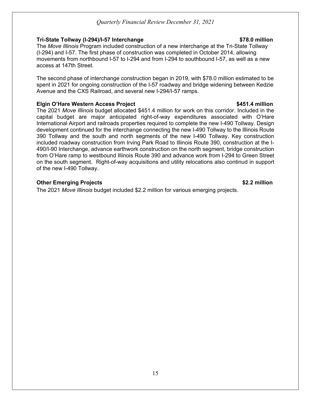#### **Tri-State Tollway (I-294)/I-57 Interchange \$78.0 million**

The *Move Illinois* Program included construction of a new interchange at the Tri-State Tollway (I-294) and I-57. The first phase of construction was completed in October 2014, allowing movements from northbound I-57 to I-294 and from I-294 to southbound I-57, as well as a new access at 147th Street.

The second phase of interchange construction began in 2019, with \$78.0 million estimated to be spent in 2021 for ongoing construction of the I-57 roadway and bridge widening between Kedzie Avenue and the CXS Railroad, and several new I-294/I-57 ramps.

#### **Elgin O'Hare Western Access Project \$451.4 million**

The 2021 *Move Illinois* budget allocated \$451.4 million for work on this corridor. Included in the capital budget are major anticipated right-of-way expenditures associated with O'Hare International Airport and railroads properties required to complete the new I-490 Tollway. Design development continued for the interchange connecting the new I-490 Tollway to the Illinois Route 390 Tollway and the south and north segments of the new I-490 Tollway. Key construction included roadway construction from Irving Park Road to Illinois Route 390, construction at the I-490/I-90 Interchange, advance earthwork construction on the north segment, bridge construction from O'Hare ramp to westbound Illinois Route 390 and advance work from I-294 to Green Street on the south segment. Right-of-way acquisitions and utility relocations also continud in support of the new I-490 Tollway.

#### **Other Emerging Projects \$2.2 million**

The 2021 *Move Illinois* budget included \$2.2 million for various emerging projects.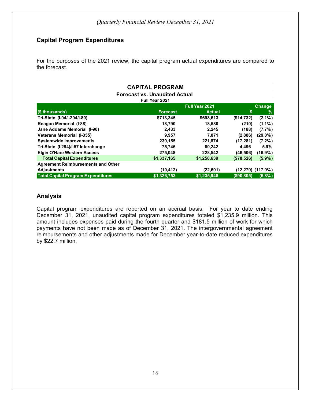### **Capital Program Expenditures**

For the purposes of the 2021 review, the capital program actual expenditures are compared to the forecast.

#### **Change (\$ thousands) Forecast Actual \$ % Tri-State (I-94/I-294/I-80) \$713,345 \$698,613 (\$14,732) (2.1%) Reagan Memorial (I-88) 18,790 18,580 (210) (1.1%) Jane Addams Memorial (I-90) 2,433 2,245 (188) (7.7%) Veterans Memorial (I-355) 9,957 7,071 (2,886) (29.0%) Systemwide Improvements 239,155 221,874 (17,281) (7.2%) Tri-State (I-294)/I-57 Interchange 75,746 80,242 4,496 5.9% Elgin O'Hare Western Access 275,048 228,542 (46,506) (16.9%) Total Capital Expenditures \$1,337,165 \$1,258,639 (\$78,526) (5.9%) Agreement Reimbursements and Other Adjustments (10,412) (22,691) (12,279) (117.9%) Total Capital Program Expenditures \$1,326,753 \$1,235,948 (\$90,805) (6.8%) CAPITAL PROGRAM Full Year 2021 Forecast vs. Unaudited Actual Full Year 2021**

#### **Analysis**

Capital program expenditures are reported on an accrual basis. For year to date ending December 31, 2021, unaudited capital program expenditures totaled \$1,235.9 million. This amount includes expenses paid during the fourth quarter and \$181.5 million of work for which payments have not been made as of December 31, 2021. The intergovernmental agreement reimbursements and other adjustments made for December year-to-date reduced expenditures by \$22.7 million.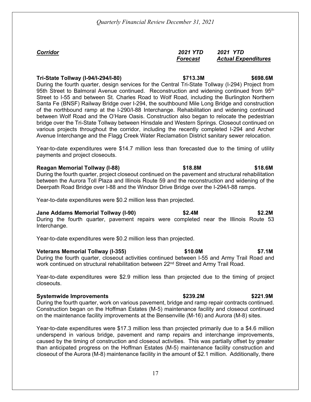#### *Corridor 2021 YTD 2021 YTD Forecast Actual Expenditures*

#### **Tri-State Tollway (I-94/I-294/I-80) \$713.3M \$698.6M**

During the fourth quarter, design services for the Central Tri-State Tollway (I-294) Project from 95th Street to Balmoral Avenue continued. Reconstruction and widening continued from 95<sup>th</sup> Street to I-55 and between St. Charles Road to Wolf Road, including the Burlington Northern Santa Fe (BNSF) Railway Bridge over I-294, the southbound Mile Long Bridge and construction of the northbound ramp at the I-290/I-88 Interchange. Rehabilitation and widening continued between Wolf Road and the O'Hare Oasis. Construction also began to relocate the pedestrian bridge over the Tri-State Tollway between Hinsdale and Western Springs. Closeout continued on various projects throughout the corridor, including the recently completed I-294 and Archer Avenue Interchange and the Flagg Creek Water Reclamation District sanitary sewer relocation.

Year-to-date expenditures were \$14.7 million less than forecasted due to the timing of utility payments and project closeouts.

#### **Reagan Memorial Tollway (I-88) \$18.8M \$18.6M**

During the fourth quarter, project closeout continued on the pavement and structural rehabilitation between the Aurora Toll Plaza and Illinois Route 59 and the reconstruction and widening of the Deerpath Road Bridge over I-88 and the Windsor Drive Bridge over the I-294/I-88 ramps.

Year-to-date expenditures were \$0.2 million less than projected.

#### **Jane Addams Memorial Tollway (I-90) \$2.4M \$2.2M**

During the fourth quarter, pavement repairs were completed near the Illinois Route 53 Interchange.

Year-to-date expenditures were \$0.2 million less than projected.

#### **Veterans Memorial Tollway (I-355) \$10.0M \$7.1M**

During the fourth quarter, closeout activities continued between I-55 and Army Trail Road and work continued on structural rehabilitation between 22<sup>nd</sup> Street and Army Trail Road.

Year-to-date expenditures were \$2.9 million less than projected due to the timing of project closeouts.

#### **Systemwide Improvements \$239.2M \$221.9M**

During the fourth quarter, work on various pavement, bridge and ramp repair contracts continued. Construction began on the Hoffman Estates (M-5) maintenance facility and closeout continued on the maintenance facility improvements at the Bensenville (M-16) and Aurora (M-8) sites.

Year-to-date expenditures were \$17.3 million less than projected primarily due to a \$4.6 million underspend in various bridge, pavement and ramp repairs and interchange improvements, caused by the timing of construction and closeout activities. This was partially offset by greater than anticipated progress on the Hoffman Estates (M-5) maintenance facility construction and closeout of the Aurora (M-8) maintenance facility in the amount of \$2.1 million. Additionally, there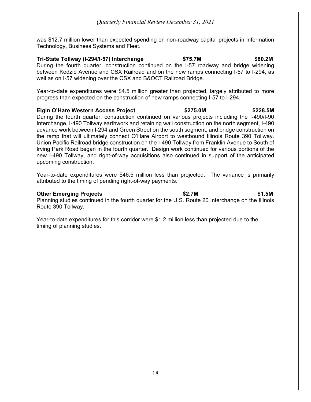was \$12.7 million lower than expected spending on non-roadway capital projects in Information Technology, Business Systems and Fleet.

**Tri-State Tollway (I-294/I-57) Interchange \$75.7M \$80.2M** During the fourth quarter, construction continued on the I-57 roadway and bridge widening between Kedzie Avenue and CSX Railroad and on the new ramps connecting I-57 to I-294, as well as on I-57 widening over the CSX and B&OCT Railroad Bridge.

Year-to-date expenditures were \$4.5 million greater than projected, largely attributed to more progress than expected on the construction of new ramps connecting I-57 to I-294.

#### **Elgin O'Hare Western Access Project \$275.0M \$228.5M**

During the fourth quarter, construction continued on various projects including the I-490/I-90 Interchange, I-490 Tollway earthwork and retaining wall construction on the north segment, I-490 advance work between I-294 and Green Street on the south segment, and bridge construction on the ramp that will ultimately connect O'Hare Airport to westbound Illinois Route 390 Tollway. Union Pacific Railroad bridge construction on the I-490 Tollway from Franklin Avenue to South of Irving Park Road began in the fourth quarter. Design work continued for various portions of the new I-490 Tollway, and right-of-way acquisitions also continued in support of the anticipated upcoming construction.

Year-to-date expenditures were \$46.5 million less than projected. The variance is primarily attributed to the timing of pending right-of-way payments.

#### **Other Emerging Projects \$2.7M \$1.5M**

Planning studies continued in the fourth quarter for the U.S. Route 20 Interchange on the Illinois Route 390 Tollway.

Year-to-date expenditures for this corridor were \$1.2 million less than projected due to the timing of planning studies.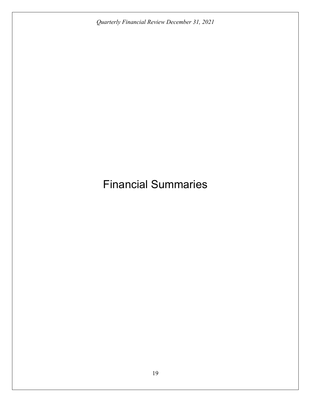# Financial Summaries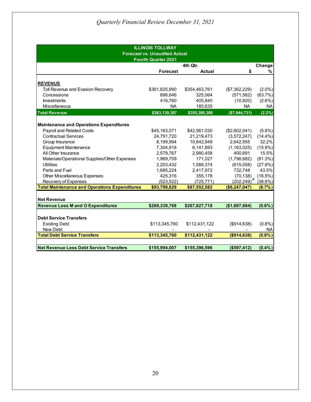| <b>ILLINOIS TOLLWAY</b><br><b>Forecast vs. Unaudited Actual</b><br><b>Fourth Quarter 2021</b> |                 |               |                  |               |
|-----------------------------------------------------------------------------------------------|-----------------|---------------|------------------|---------------|
|                                                                                               |                 | 4th Qtr.      |                  | Change        |
|                                                                                               | <b>Forecast</b> | <b>Actual</b> | \$               | %             |
| <b>REVENUE</b>                                                                                |                 |               |                  |               |
| Toll Revenue and Evasion Recovery                                                             | \$361,825,990   | \$354,463,761 | (\$7,362,229)    | $(2.0\%)$     |
| Concessions                                                                                   | 896,646         | 325,064       | (571, 582)       | (63.7%)       |
| Investments                                                                                   | 416,760         | 405,840       | (10,920)         | $(2.6\%)$     |
| Miscellaneous                                                                                 | <b>NA</b>       | 185,635       | <b>NA</b>        | <b>NA</b>     |
| <b>Total Revenue</b>                                                                          | \$363,139,397   | \$355,380,300 | ( \$7, 944, 731) | (2.2%)        |
| <b>Maintenance and Operations Expenditures</b><br><b>Payroll and Related Costs</b>            | \$45,163,071    | \$42,561,030  | (\$2,602,041)    | $(5.8\%)$     |
| <b>Contractual Services</b>                                                                   | 24,791,720      | 21,219,473    | (3,572,247)      | $(14.4\%)$    |
| Group Insurance                                                                               | 8,199,994       | 10,842,949    | 2,642,955        | 32.2%         |
| <b>Equipment Maintenance</b>                                                                  | 7,304,918       | 6,141,893     | (1, 163, 025)    | $(15.9\%)$    |
| All Other Insurance                                                                           | 2,579,767       | 2,980,458     | 400,691          | 15.5%         |
| Materials/Operational Supplies/Other Expenses                                                 | 1,969,709       | 171,027       | (1,798,682)      | (91.3%)       |
| Utilities                                                                                     | 2,203,432       | 1,588,374     | (615,058)        | (27.9%)       |
| Parts and Fuel                                                                                | 1,685,224       | 2,417,972     | 732,748          | 43.5%         |
| <b>Other Miscellaneous Expenses</b>                                                           | 425,316         | 355,178       | (70, 138)        | (16.5%)       |
| Recovery of Expenses                                                                          | (523, 522)      | (725, 771)    | (202, 249)       | (38.6%)       |
| <b>Total Maintenance and Operations Expenditures</b>                                          | \$93,799,629    | \$87,552,582  | (\$6,247,047)    | $(6.7\%)$     |
| <b>Net Revenue</b>                                                                            |                 |               |                  |               |
| <b>Revenue Less M and O Expenditures</b>                                                      | \$269,339,768   | \$267,827,718 | (\$1,697,684)    | $(0.6\%)$     |
| <b>Debt Service Transfers</b>                                                                 |                 |               |                  |               |
| <b>Existing Debt</b><br>New Debt                                                              | \$113,345,760   | \$112,431,122 | (\$914, 638)     | (0.8% )       |
| <b>Total Debt Service Transfers</b>                                                           | \$113,345,760   | \$112,431,122 | ( \$914, 638)    | NА<br>(0.8% ) |
|                                                                                               |                 |               |                  |               |
| <b>Net Revenue Less Debt Service Transfers</b>                                                | \$155,994,007   | \$155,396,596 | (\$597,412)      | $(0.4\%)$     |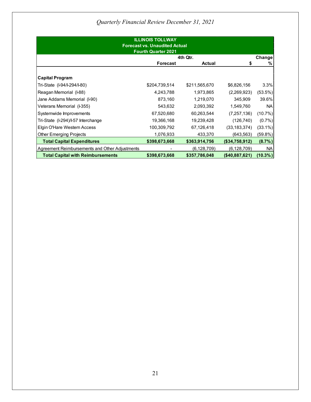| <b>ILLINOIS TOLLWAY</b><br><b>Forecast vs. Unaudited Actual</b><br><b>Fourth Quarter 2021</b> |                 |               |                |            |
|-----------------------------------------------------------------------------------------------|-----------------|---------------|----------------|------------|
|                                                                                               |                 | 4th Qtr.      |                | Change     |
|                                                                                               | <b>Forecast</b> | <b>Actual</b> |                | %          |
| <b>Capital Program</b>                                                                        |                 |               |                |            |
| Tri-State (I-94/I-294/I-80)                                                                   | \$204,739,514   | \$211,565,670 | \$6,826,156    | 3.3%       |
| Reagan Memorial (I-88)                                                                        | 4,243,788       | 1,973,865     | (2,269,923)    | (53.5%)    |
| Jane Addams Memorial (I-90)                                                                   | 873,160         | 1,219,070     | 345,909        | 39.6%      |
| Veterans Memorial (I-355)                                                                     | 543,632         | 2,093,392     | 1,549,760      | NA.        |
| Systemwide Improvements                                                                       | 67,520,680      | 60,263,544    | (7,257,136)    | (10.7%)    |
| Tri-State (I-294)/I-57 Interchange                                                            | 19,366,168      | 19,239,428    | (126, 740)     | $(0.7\%)$  |
| Elgin O'Hare Western Access                                                                   | 100,309,792     | 67,126,418    | (33, 183, 374) | (33.1%)    |
| <b>Other Emerging Projects</b>                                                                | 1,076,933       | 433,370       | (643, 563)     | (59.8%)    |
| <b>Total Capital Expenditures</b>                                                             | \$398,673,668   | \$363,914,756 | (\$34,758,912) | (8.7%)     |
| Agreement Reimbursements and Other Adjustments                                                |                 | (6, 128, 709) | (6, 128, 709)  | NA.        |
| <b>Total Capital with Reimbursements</b>                                                      | \$398,673,668   | \$357,786,048 | (\$40,887,621) | $(10.3\%)$ |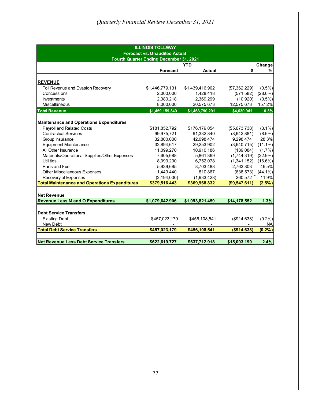| <b>ILLINOIS TOLLWAY</b><br><b>Forecast vs. Unaudited Actual</b> |                 |                 |                         |            |  |
|-----------------------------------------------------------------|-----------------|-----------------|-------------------------|------------|--|
| Fourth Quarter Ending December 31, 2021                         |                 |                 |                         |            |  |
|                                                                 |                 | <b>YTD</b>      |                         | Change     |  |
|                                                                 | <b>Forecast</b> | <b>Actual</b>   | \$                      | %          |  |
| <b>REVENUE</b>                                                  |                 |                 |                         |            |  |
| Toll Revenue and Evasion Recovery                               | \$1,446,779,131 | \$1,439,416,902 | (\$7,362,229)           | $(0.5\%)$  |  |
| Concessions                                                     | 2,000,000       | 1,428,418       | (571, 582)              | (28.6%)    |  |
| <b>Investments</b>                                              | 2,380,218       | 2,369,299       | (10, 920)               | $(0.5\%)$  |  |
| Miscellaneous                                                   | 8,000,000       | 20,575,673      | 12,575,673              | 157.2%     |  |
| <b>Total Revenue</b>                                            | \$1,459,159,349 | \$1,463,790,291 | \$4,630,941             | 0.3%       |  |
|                                                                 |                 |                 |                         |            |  |
| <b>Maintenance and Operations Expenditures</b>                  |                 |                 |                         |            |  |
| <b>Payroll and Related Costs</b>                                | \$181,852,792   | \$176,179,054   | (\$5,673,738)           | $(3.1\%)$  |  |
| <b>Contractual Services</b>                                     | 99,975,721      | 91,332,840      | (8,642,881)             | $(8.6\%)$  |  |
| Group Insurance                                                 | 32,800,000      | 42,098,474      | 9,298,474               | 28.3%      |  |
| <b>Equipment Maintenance</b>                                    | 32,894,617      | 29,253,902      | (3,640,715)             | $(11.1\%)$ |  |
| All Other Insurance                                             | 11,099,270      | 10,910,186      | (189,084)               | $(1.7\%)$  |  |
| Materials/Operational Supplies/Other Expenses                   | 7,605,688       | 5,861,369       | (1,744,319)             | $(22.9\%)$ |  |
| <b>Utilities</b>                                                | 8,093,230       | 6,752,078       | (1,341,152)             | $(16.6\%)$ |  |
| Parts and Fuel                                                  | 5,939,685       | 8,703,488       | 2,763,803               | 46.5%      |  |
| Other Miscellaneous Expenses                                    | 1,449,440       | 810,867         | $(638, 573)$ $(44.1\%)$ |            |  |
| Recovery of Expenses                                            | (2, 194, 000)   | (1,933,428)     | 260,572                 | 11.9%      |  |
| <b>Total Maintenance and Operations Expenditures</b>            | \$379,516,443   | \$369,968,832   | (\$9,547,611)           | $(2.5\%)$  |  |
|                                                                 |                 |                 |                         |            |  |
| <b>Net Revenue</b>                                              |                 |                 |                         |            |  |
| <b>Revenue Less M and O Expenditures</b>                        | \$1,079,642,906 | \$1,093,821,459 | \$14,178,552            | 1.3%       |  |
|                                                                 |                 |                 |                         |            |  |
| <b>Debt Service Transfers</b>                                   |                 |                 |                         |            |  |
| <b>Existing Debt</b>                                            | \$457,023,179   | \$456,108,541   | (\$914,638)             | (0.2%)     |  |
| New Debt                                                        |                 |                 |                         | NА         |  |
| <b>Total Debt Service Transfers</b>                             | \$457,023,179   | \$456,108,541   | ( \$914, 638)           | (0.2% )    |  |
| <b>Net Revenue Less Debt Service Transfers</b>                  | \$622,619,727   | \$637,712,918   | \$15,093,190            | 2.4%       |  |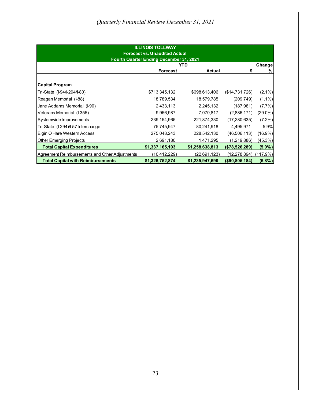| <b>ILLINOIS TOLLWAY</b><br><b>Forecast vs. Unaudited Actual</b><br><b>Fourth Quarter Ending December 31, 2021</b> |                 |                 |                   |            |
|-------------------------------------------------------------------------------------------------------------------|-----------------|-----------------|-------------------|------------|
|                                                                                                                   |                 | YTD             |                   | Change     |
|                                                                                                                   | <b>Forecast</b> | <b>Actual</b>   | S                 | %          |
| <b>Capital Program</b>                                                                                            |                 |                 |                   |            |
| Tri-State (I-94/I-294/I-80)                                                                                       | \$713,345,132   | \$698,613,406   | (\$14,731,726)    | $(2.1\%)$  |
| Reagan Memorial (I-88)                                                                                            | 18,789,534      | 18,579,785      | (209, 749)        | $(1.1\%)$  |
| Jane Addams Memorial (I-90)                                                                                       | 2,433,113       | 2,245,132       | (187, 981)        | $(7.7\%)$  |
| Veterans Memorial (I-355)                                                                                         | 9,956,987       | 7,070,817       | (2,886,171)       | (29.0%)    |
| Systemwide Improvements                                                                                           | 239,154,965     | 221,874,330     | (17, 280, 635)    | $(7.2\%)$  |
| Tri-State (I-294)/I-57 Interchange                                                                                | 75,745,947      | 80,241,918      | 4,495,971         | 5.9%       |
| Elgin O'Hare Western Access                                                                                       | 275,048,243     | 228,542,130     | (46, 506, 113)    | $(16.9\%)$ |
| <b>Other Emerging Projects</b>                                                                                    | 2,691,180       | 1,471,295       | (1,219,886)       | (45.3%)    |
| <b>Total Capital Expenditures</b>                                                                                 | \$1,337,165,103 | \$1,258,638,813 | ( \$78,526,289)   | $(5.9\%)$  |
| Agreement Reimbursements and Other Adjustments                                                                    | (10,412,229)    | (22, 691, 123)  | (12,278,894)      | (117.9%)   |
| <b>Total Capital with Reimbursements</b>                                                                          | \$1,326,752,874 | \$1,235,947,690 | $($ \$90,805,184) | (6.8%)     |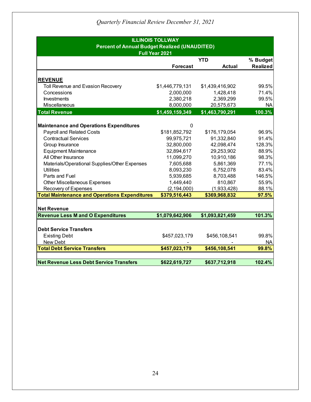| <b>ILLINOIS TOLLWAY</b><br><b>Percent of Annual Budget Realized (UNAUDITED)</b> |                              |                              |                 |  |  |  |  |
|---------------------------------------------------------------------------------|------------------------------|------------------------------|-----------------|--|--|--|--|
| Full Year 2021<br><b>YTD</b>                                                    |                              |                              |                 |  |  |  |  |
|                                                                                 |                              | % Budget                     |                 |  |  |  |  |
|                                                                                 | <b>Forecast</b>              | <b>Actual</b>                | <b>Realized</b> |  |  |  |  |
|                                                                                 |                              |                              |                 |  |  |  |  |
| <b>REVENUE</b>                                                                  |                              |                              | 99.5%           |  |  |  |  |
| Toll Revenue and Evasion Recovery<br>Concessions                                | \$1,446,779,131<br>2,000,000 | \$1,439,416,902<br>1,428,418 | 71.4%           |  |  |  |  |
| <b>Investments</b>                                                              | 2,380,218                    | 2,369,299                    | 99.5%           |  |  |  |  |
| Miscellaneous                                                                   | 8,000,000                    | 20,575,673                   | <b>NA</b>       |  |  |  |  |
|                                                                                 |                              |                              |                 |  |  |  |  |
| <b>Total Revenue</b>                                                            | \$1,459,159,349              | \$1,463,790,291              | 100.3%          |  |  |  |  |
|                                                                                 |                              |                              |                 |  |  |  |  |
| <b>Maintenance and Operations Expenditures</b>                                  | 0                            |                              |                 |  |  |  |  |
| <b>Payroll and Related Costs</b>                                                | \$181,852,792                | \$176,179,054                | 96.9%           |  |  |  |  |
| <b>Contractual Services</b>                                                     | 99,975,721                   | 91,332,840                   | 91.4%           |  |  |  |  |
| Group Insurance                                                                 | 32,800,000                   | 42,098,474                   | 128.3%          |  |  |  |  |
| <b>Equipment Maintenance</b>                                                    | 32,894,617                   | 29,253,902                   | 88.9%           |  |  |  |  |
| All Other Insurance                                                             | 11,099,270                   | 10,910,186                   | 98.3%           |  |  |  |  |
| Materials/Operational Supplies/Other Expenses                                   | 7,605,688                    | 5,861,369                    | 77.1%           |  |  |  |  |
| <b>Utilities</b>                                                                | 8,093,230                    | 6,752,078                    | 83.4%           |  |  |  |  |
| Parts and Fuel                                                                  | 5,939,685                    | 8,703,488                    | 146.5%          |  |  |  |  |
| <b>Other Miscellaneous Expenses</b>                                             | 1,449,440                    | 810,867                      | 55.9%           |  |  |  |  |
| Recovery of Expenses                                                            | (2, 194, 000)                | (1,933,428)                  | 88.1%           |  |  |  |  |
| <b>Total Maintenance and Operations Expenditures</b>                            | \$379,516,443                | \$369,968,832                | 97.5%           |  |  |  |  |
|                                                                                 |                              |                              |                 |  |  |  |  |
| <b>Net Revenue</b>                                                              |                              |                              |                 |  |  |  |  |
| <b>Revenue Less M and O Expenditures</b>                                        | \$1,079,642,906              | \$1,093,821,459              | 101.3%          |  |  |  |  |
|                                                                                 |                              |                              |                 |  |  |  |  |
| <b>Debt Service Transfers</b>                                                   |                              |                              |                 |  |  |  |  |
| <b>Existing Debt</b>                                                            | \$457,023,179                | \$456,108,541                | 99.8%           |  |  |  |  |
| New Debt                                                                        |                              |                              | <b>NA</b>       |  |  |  |  |
| <b>Total Debt Service Transfers</b>                                             | \$457,023,179                | \$456,108,541                | 99.8%           |  |  |  |  |
|                                                                                 |                              |                              |                 |  |  |  |  |
| <b>Net Revenue Less Debt Service Transfers</b>                                  | \$622,619,727                | \$637,712,918                | 102.4%          |  |  |  |  |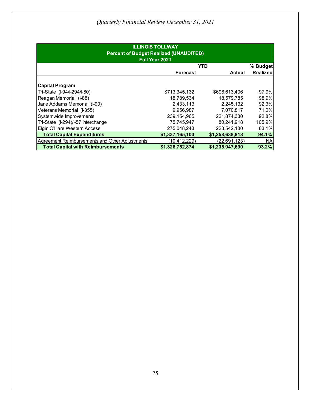| <b>ILLINOIS TOLLWAY</b><br><b>Percent of Budget Realized (UNAUDITED)</b><br>Full Year 2021 |                 |                 |                 |  |  |
|--------------------------------------------------------------------------------------------|-----------------|-----------------|-----------------|--|--|
|                                                                                            | YTD             |                 | % Budget        |  |  |
|                                                                                            | <b>Forecast</b> | <b>Actual</b>   | <b>Realized</b> |  |  |
| <b>Capital Program</b>                                                                     |                 |                 |                 |  |  |
| Tri-State (I-94/I-294/I-80)                                                                | \$713,345,132   | \$698,613,406   | 97.9%           |  |  |
| Reagan Memorial (I-88)                                                                     | 18,789,534      | 18,579,785      | 98.9%           |  |  |
| Jane Addams Memorial (I-90)                                                                | 2,433,113       | 2,245,132       | 92.3%           |  |  |
| Veterans Memorial (I-355)                                                                  | 9,956,987       | 7.070.817       | 71.0%           |  |  |
| Systemwide Improvements                                                                    | 239,154,965     | 221,874,330     | 92.8%           |  |  |
| Tri-State (I-294)/I-57 Interchange                                                         | 75,745,947      | 80,241,918      | 105.9%          |  |  |
| Elgin O'Hare Western Access                                                                | 275,048,243     | 228,542,130     | 83.1%           |  |  |
| <b>Total Capital Expenditures</b>                                                          | \$1,337,165,103 | \$1,258,638,813 | 94.1%           |  |  |
| Agreement Reimbursements and Other Adjustments                                             | (10, 412, 229)  | (22,691,123)    | <b>NA</b>       |  |  |
| <b>Total Capital with Reimbursements</b>                                                   | \$1.326.752.874 | \$1,235,947,690 | 93.2%           |  |  |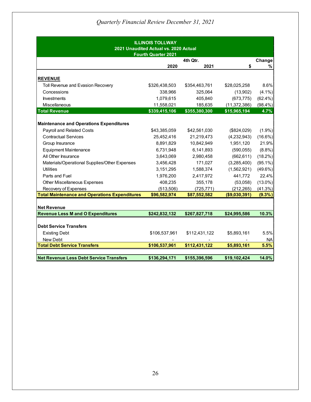| <b>ILLINOIS TOLLWAY</b><br>2021 Unaudited Actual vs. 2020 Actual<br><b>Fourth Quarter 2021</b> |               |               |                |            |
|------------------------------------------------------------------------------------------------|---------------|---------------|----------------|------------|
|                                                                                                |               | 4th Qtr.      |                | Change     |
|                                                                                                | 2020          | 2021          | \$             | %          |
| <b>REVENUE</b>                                                                                 |               |               |                |            |
| Toll Revenue and Evasion Recovery                                                              | \$326,438,503 | \$354,463,761 | \$28,025,258   | 8.6%       |
| Concessions                                                                                    | 338,966       | 325,064       | (13,902)       | $(4.1\%)$  |
| <b>Investments</b>                                                                             | 1,079,615     | 405,840       | (673, 775)     | $(62.4\%)$ |
| Miscellaneous                                                                                  | 11,558,021    | 185,635       | (11, 372, 386) | $(98.4\%)$ |
| <b>Total Revenue</b>                                                                           | \$339,415,106 | \$355,380,300 | \$15,965,194   | 4.7%       |
| <b>Maintenance and Operations Expenditures</b><br>Payroll and Related Costs                    | \$43,385,059  | \$42,561,030  | (\$824,029)    | $(1.9\%)$  |
| <b>Contractual Services</b>                                                                    | 25,452,416    | 21,219,473    | (4,232,943)    | $(16.6\%)$ |
|                                                                                                | 8,891,829     | 10,842,949    | 1,951,120      | 21.9%      |
| Group Insurance<br><b>Equipment Maintenance</b>                                                | 6,731,948     | 6,141,893     | (590, 055)     | $(8.8\%)$  |
| All Other Insurance                                                                            | 3,643,069     | 2,980,458     | (662, 611)     | $(18.2\%)$ |
| Materials/Operational Supplies/Other Expenses                                                  | 3,456,428     | 171,027       | (3,285,400)    | $(95.1\%)$ |
| <b>Utilities</b>                                                                               | 3,151,295     | 1,588,374     | (1,562,921)    | (49.6%)    |
| Parts and Fuel                                                                                 | 1,976,200     | 2,417,972     | 441,772        | 22.4%      |
| <b>Other Miscellaneous Expenses</b>                                                            | 408,235       | 355,178       | (53,058)       | $(13.0\%)$ |
| Recovery of Expenses                                                                           | (513,506)     | (725, 771)    | (212, 265)     | (41.3%)    |
| <b>Total Maintenance and Operations Expenditures</b>                                           | \$96,582,974  | \$87,552,582  | (\$9,030,391)  | $(9.3\%)$  |
|                                                                                                |               |               |                |            |
| <b>Net Revenue</b>                                                                             |               |               |                |            |
| <b>Revenue Less M and O Expenditures</b>                                                       | \$242,832,132 | \$267,827,718 | \$24,995,586   | 10.3%      |
|                                                                                                |               |               |                |            |
| <b>Debt Service Transfers</b>                                                                  |               |               |                |            |
| <b>Existing Debt</b>                                                                           | \$106,537,961 | \$112,431,122 | \$5,893,161    | 5.5%       |
| New Debt                                                                                       |               |               |                | <b>NA</b>  |
| <b>Total Debt Service Transfers</b>                                                            | \$106,537,961 | \$112,431,122 | \$5,893,161    | 5.5%       |
| <b>Net Revenue Less Debt Service Transfers</b>                                                 | \$136,294,171 | \$155,396,596 | \$19,102,424   | 14.0%      |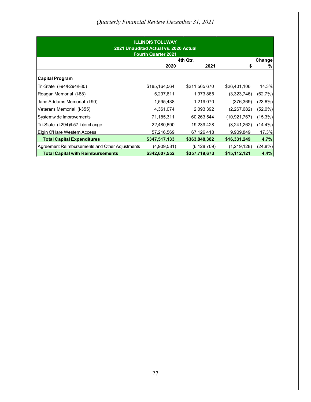| <b>ILLINOIS TOLLWAY</b><br>2021 Unaudited Actual vs. 2020 Actual<br><b>Fourth Quarter 2021</b> |               |               |                |            |
|------------------------------------------------------------------------------------------------|---------------|---------------|----------------|------------|
|                                                                                                |               | 4th Qtr.      |                | Change     |
|                                                                                                | 2020          | 2021          | S              | %          |
| <b>Capital Program</b>                                                                         |               |               |                |            |
| Tri-State (I-94/I-294/I-80)                                                                    | \$185,164,564 | \$211,565,670 | \$26,401,106   | 14.3%      |
| Reagan Memorial (I-88)                                                                         | 5,297,611     | 1,973,865     | (3,323,746)    | (62.7%)    |
| Jane Addams Memorial (I-90)                                                                    | 1,595,438     | 1,219,070     | (376, 369)     | (23.6%)    |
| Veterans Memorial (I-355)                                                                      | 4,361,074     | 2,093,392     | (2,267,682)    | $(52.0\%)$ |
| Systemwide Improvements                                                                        | 71,185,311    | 60,263,544    | (10, 921, 767) | (15.3%)    |
| Tri-State (I-294)/I-57 Interchange                                                             | 22,480,690    | 19,239,428    | (3,241,262)    | $(14.4\%)$ |
| Elgin O'Hare Western Access                                                                    | 57,216,569    | 67,126,418    | 9,909,849      | 17.3%      |
| <b>Total Capital Expenditures</b>                                                              | \$347,517,133 | \$363,848,382 | \$16,331,249   | 4.7%       |
| Agreement Reimbursements and Other Adjustments                                                 | (4,909,581)   | (6, 128, 709) | (1,219,128)    | (24.8%)    |
| <b>Total Capital with Reimbursements</b>                                                       | \$342,607,552 | \$357,719,673 | \$15,112,121   | 4.4%       |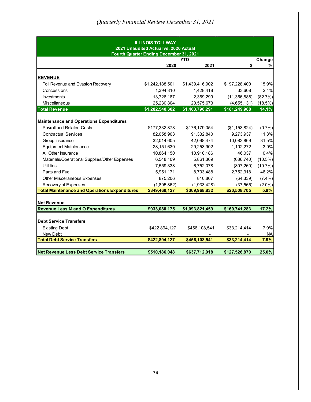| <b>ILLINOIS TOLLWAY</b><br>2021 Unaudited Actual vs. 2020 Actual<br>Fourth Quarter Ending December 31, 2021 |                             |                             |                |            |
|-------------------------------------------------------------------------------------------------------------|-----------------------------|-----------------------------|----------------|------------|
|                                                                                                             |                             | YTD                         |                | Change     |
|                                                                                                             | 2020                        | 2021                        | \$             | %          |
| <b>REVENUE</b>                                                                                              |                             |                             |                |            |
| Toll Revenue and Evasion Recovery                                                                           | \$1,242,188,501             | \$1,439,416,902             | \$197,228,400  | 15.9%      |
| Concessions                                                                                                 | 1,394,810                   | 1,428,418                   | 33,608         | 2.4%       |
| <b>Investments</b>                                                                                          | 13,726,187                  | 2,369,299                   | (11, 356, 888) | (82.7%)    |
| Miscellaneous                                                                                               | 25,230,804                  | 20,575,673                  | (4,655,131)    | (18.5%)    |
| <b>Total Revenue</b>                                                                                        | \$1,282,540,302             | \$1,463,790,291             | \$181,249,988  | 14.1%      |
| <b>Maintenance and Operations Expenditures</b><br>Payroll and Related Costs                                 |                             |                             | (\$1,153,824)  | $(0.7\%)$  |
| <b>Contractual Services</b>                                                                                 | \$177,332,878<br>82,058,903 | \$176,179,054<br>91,332,840 | 9,273,937      | 11.3%      |
|                                                                                                             | 32,014,605                  | 42,098,474                  | 10,083,869     | 31.5%      |
| Group Insurance                                                                                             | 28,151,630                  | 29,253,902                  | 1,102,272      | 3.9%       |
| <b>Equipment Maintenance</b><br>All Other Insurance                                                         | 10,864,150                  | 10,910,186                  | 46,037         | 0.4%       |
| Materials/Operational Supplies/Other Expenses                                                               | 6,548,109                   | 5,861,369                   | (686, 740)     | $(10.5\%)$ |
| <b>Utilities</b>                                                                                            | 7,559,338                   | 6,752,078                   | (807, 260)     | (10.7%)    |
| Parts and Fuel                                                                                              | 5,951,171                   | 8,703,488                   | 2,752,318      | 46.2%      |
| <b>Other Miscellaneous Expenses</b>                                                                         | 875,206                     | 810,867                     | (64, 339)      | $(7.4\%)$  |
| Recovery of Expenses                                                                                        | (1,895,862)                 | (1,933,428)                 | (37, 565)      | $(2.0\%)$  |
| <b>Total Maintenance and Operations Expenditures</b>                                                        | \$349,460,127               | \$369,968,832               | \$20,508,705   | 5.9%       |
|                                                                                                             |                             |                             |                |            |
| <b>Net Revenue</b>                                                                                          |                             |                             |                |            |
| <b>Revenue Less M and O Expenditures</b>                                                                    | \$933,080,175               | \$1,093,821,459             | \$160,741,283  | 17.2%      |
|                                                                                                             |                             |                             |                |            |
| <b>Debt Service Transfers</b>                                                                               |                             |                             |                |            |
| <b>Existing Debt</b>                                                                                        | \$422,894,127               | \$456,108,541               | \$33,214,414   | 7.9%       |
| New Debt                                                                                                    |                             |                             |                | <b>NA</b>  |
| <b>Total Debt Service Transfers</b>                                                                         | \$422,894,127               | \$456,108,541               | \$33,214,414   | 7.9%       |
| <b>Net Revenue Less Debt Service Transfers</b>                                                              | \$510,186,048               | \$637,712,918               | \$127,526,870  | 25.0%      |